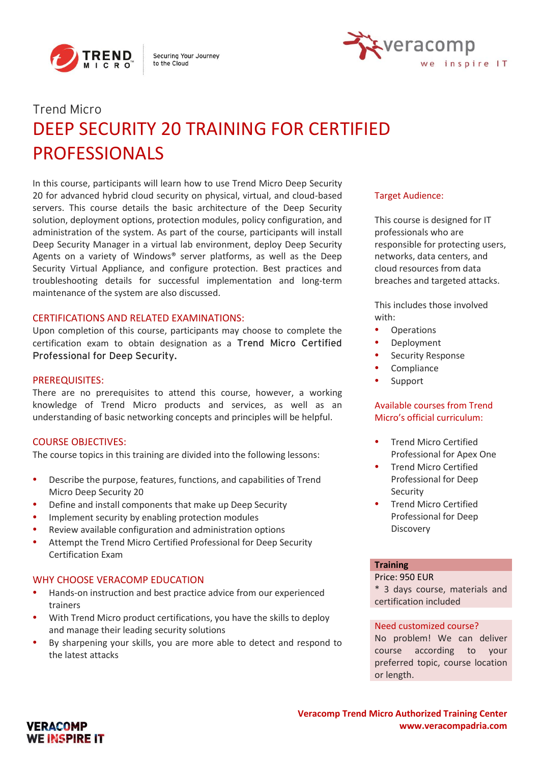

Securing Your Journey to the Cloud



# Trend Micro DEEP SECURITY 20 TRAINING FOR CERTIFIED PROFESSIONALS

In this course, participants will learn how to use Trend Micro Deep Security 20 for advanced hybrid cloud security on physical, virtual, and cloud-based servers. This course details the basic architecture of the Deep Security solution, deployment options, protection modules, policy configuration, and administration of the system. As part of the course, participants will install Deep Security Manager in a virtual lab environment, deploy Deep Security Agents on a variety of Windows® server platforms, as well as the Deep Security Virtual Appliance, and configure protection. Best practices and troubleshooting details for successful implementation and long-term maintenance of the system are also discussed.

#### CERTIFICATIONS AND RELATED EXAMINATIONS:

Upon completion of this course, participants may choose to complete the certification exam to obtain designation as a Trend Micro Certified Professional for Deep Security.

#### PREREQUISITES:

There are no prerequisites to attend this course, however, a working knowledge of Trend Micro products and services, as well as an understanding of basic networking concepts and principles will be helpful.

## COURSE OBJECTIVES:

**VERACOMP WE INSPIRE IT** 

The course topics in this training are divided into the following lessons:

- Describe the purpose, features, functions, and capabilities of Trend Micro Deep Security 20
- Define and install components that make up Deep Security
- Implement security by enabling protection modules
- Review available configuration and administration options
- Attempt the Trend Micro Certified Professional for Deep Security Certification Exam

# WHY CHOOSE VERACOMP EDUCATION

- Hands-on instruction and best practice advice from our experienced trainers
- With Trend Micro product certifications, you have the skills to deploy and manage their leading security solutions
- By sharpening your skills, you are more able to detect and respond to the latest attacks

#### Target Audience:

This course is designed for IT professionals who are responsible for protecting users, networks, data centers, and cloud resources from data breaches and targeted attacks.

This includes those involved with:

- **Operations**
- **Deployment**
- Security Response
- **Compliance**
- **Support**

# Available courses from Trend Micro's official curriculum:

- Trend Micro Certified Professional for Apex One
- Trend Micro Certified Professional for Deep Security
- Trend Micro Certified Professional for Deep Discovery

# **Training**

Price: 950 EUR

\* 3 days course, materials and certification included

#### Need customized course?

No problem! We can deliver course according to your preferred topic, course location or length.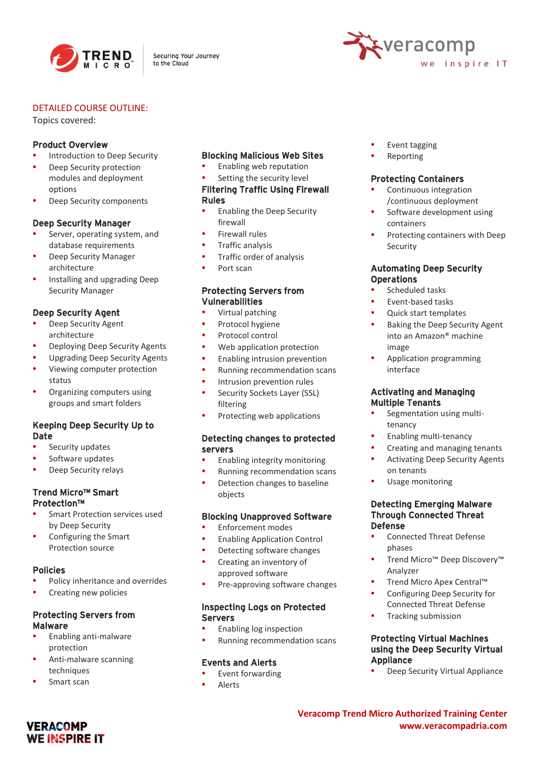

Securing Your Journey to the Cloud



#### DETAILED COURSE OUTLINE:

Topics covered:

#### Product Overview

- Introduction to Deep Security
- Deep Security protection modules and deployment options
- Deep Security components

#### Deep Security Manager

- Server, operating system, and database requirements
- Deep Security Manager architecture
- Installing and upgrading Deep Security Manager

# Deep Security Agent

- Deep Security Agent architecture
- Deploying Deep Security Agents
- Upgrading Deep Security Agents
- Viewing computer protection status
- Organizing computers using groups and smart folders

## Keeping Deep Security Up to Date

- Security updates
- Software updates
- Deep Security relays

## Trend Micro™ Smart Protection™

- Smart Protection services used by Deep Security
- Configuring the Smart Protection source

## Policies

- Policy inheritance and overrides
- Creating new policies

# Protecting Servers from Malware

- Enabling anti-malware protection
- Anti-malware scanning techniques
- Smart scan

**VERACOMP WE INSPIRE IT** 

# Blocking Malicious Web Sites

- Enabling web reputation
- Setting the security level

## Filtering Traffic Using Firewall Rules

- Enabling the Deep Security firewall
- Firewall rules
- Traffic analysis
- Traffic order of analysis
- Port scan

## Protecting Servers from Vulnerabilities

- Virtual patching
- Protocol hygiene
- Protocol control
- Web application protection
- Enabling intrusion prevention
- Running recommendation scans
- Intrusion prevention rules
- Security Sockets Layer (SSL) filtering
- Protecting web applications

# Detecting changes to protected servers

- Enabling integrity monitoring
- Running recommendation scans
- Detection changes to baseline objects

## Blocking Unapproved Software

- Enforcement modes
- Enabling Application Control
- Detecting software changes • Creating an inventory of
	- approved software
- Pre-approving software changes

#### Inspecting Logs on Protected Servers

- Enabling log inspection
- Running recommendation scans

## Events and Alerts

- Event forwarding
- Alerts
- Event tagging
- Reporting

#### Protecting Containers

- Continuous integration /continuous deployment
- Software development using containers
- Protecting containers with Deep Security

#### Automating Deep Security **Operations**

- Scheduled tasks
- Event-based tasks
- Quick start templates
- Baking the Deep Security Agent into an Amazon® machine image
- Application programming interface

#### Activating and Managing Multiple Tenants

- Segmentation using multitenancy
- Enabling multi-tenancy
- Creating and managing tenants
- Activating Deep Security Agents on tenants
- Usage monitoring

#### Detecting Emerging Malware Through Connected Threat Defense

- Connected Threat Defense phases
- Trend Micro™ Deep Discovery™ Analyzer
- Trend Micro Apex Central™
- Configuring Deep Security for Connected Threat Defense
- Tracking submission

## Protecting Virtual Machines using the Deep Security Virtual Appliance

• Deep Security Virtual Appliance